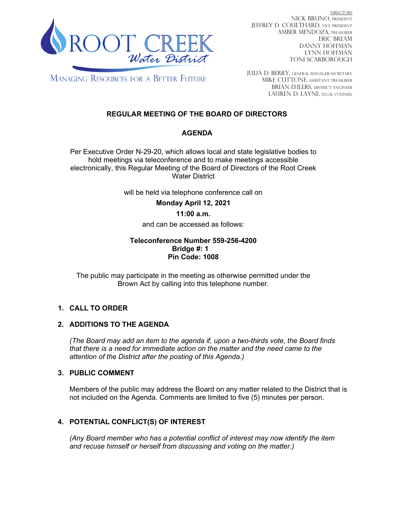

DIRECTORS NICK BRUNO, PRESIDENT JEFFREY D. COULTHARD, Vice President AMBER MENDOZA, TREASURER ERIC BREAM DANNY HOFFMAN LYNN HOFFMAN TONI SCARBOROUGH

**MANAGING RESOURCES FOR A BETTER FUTURE** 

JULIA D. BERRY, GENERAL MANAGER/secretary MIKE CUTTONE, Assistant treasurer BRIAN EHLERS, DISTRICT ENGINEER LAUREN D. LAYNE, LEGAL COUNSEL

# **REGULAR MEETING OF THE BOARD OF DIRECTORS**

## **AGENDA**

Per Executive Order N-29-20, which allows local and state legislative bodies to hold meetings via teleconference and to make meetings accessible electronically, this Regular Meeting of the Board of Directors of the Root Creek Water District

will be held via telephone conference call on

**Monday April 12, 2021**

## **11:00 a.m.**

and can be accessed as follows:

## **Teleconference Number 559-256-4200 Bridge #: 1 Pin Code: 1008**

The public may participate in the meeting as otherwise permitted under the Brown Act by calling into this telephone number.

## **1. CALL TO ORDER**

## **2. ADDITIONS TO THE AGENDA**

*(The Board may add an item to the agenda if, upon a two-thirds vote, the Board finds that there is a need for immediate action on the matter and the need came to the attention of the District after the posting of this Agenda.)*

#### **3. PUBLIC COMMENT**

Members of the public may address the Board on any matter related to the District that is not included on the Agenda. Comments are limited to five (5) minutes per person.

## **4. POTENTIAL CONFLICT(S) OF INTEREST**

*(Any Board member who has a potential conflict of interest may now identify the item and recuse himself or herself from discussing and voting on the matter.)*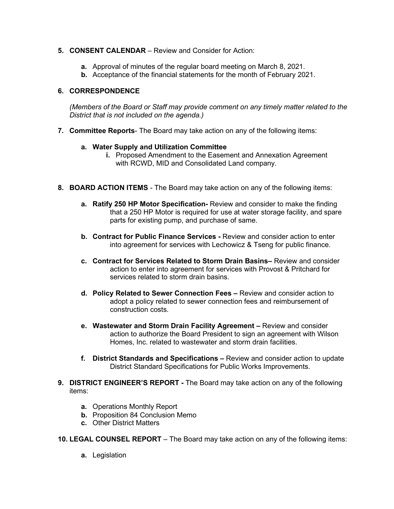## **5. CONSENT CALENDAR** – Review and Consider for Action:

- **a.** Approval of minutes of the regular board meeting on March 8, 2021.
- **b.** Acceptance of the financial statements for the month of February 2021.

## **6. CORRESPONDENCE**

*(Members of the Board or Staff may provide comment on any timely matter related to the District that is not included on the agenda.)*

**7. Committee Reports**- The Board may take action on any of the following items:

## **a. Water Supply and Utilization Committee**

- **i.** Proposed Amendment to the Easement and Annexation Agreement with RCWD, MID and Consolidated Land company.
- **8. BOARD ACTION ITEMS**  The Board may take action on any of the following items:
	- **a. Ratify 250 HP Motor Specification-** Review and consider to make the finding that a 250 HP Motor is required for use at water storage facility, and spare parts for existing pump, and purchase of same.
	- **b. Contract for Public Finance Services -** Review and consider action to enter into agreement for services with Lechowicz & Tseng for public finance.
	- **c. Contract for Services Related to Storm Drain Basins–** Review and consider action to enter into agreement for services with Provost & Pritchard for services related to storm drain basins.
	- **d. Policy Related to Sewer Connection Fees –** Review and consider action to adopt a policy related to sewer connection fees and reimbursement of construction costs.
	- **e. Wastewater and Storm Drain Facility Agreement –** Review and consider action to authorize the Board President to sign an agreement with Wilson Homes, Inc. related to wastewater and storm drain facilities.
	- **f. District Standards and Specifications –** Review and consider action to update District Standard Specifications for Public Works Improvements.
- **9. DISTRICT ENGINEER'S REPORT -** The Board may take action on any of the following items:
	- **a.** Operations Monthly Report
	- **b.** Proposition 84 Conclusion Memo
	- **c.** Other District Matters

**10. LEGAL COUNSEL REPORT** – The Board may take action on any of the following items:

**a.** Legislation